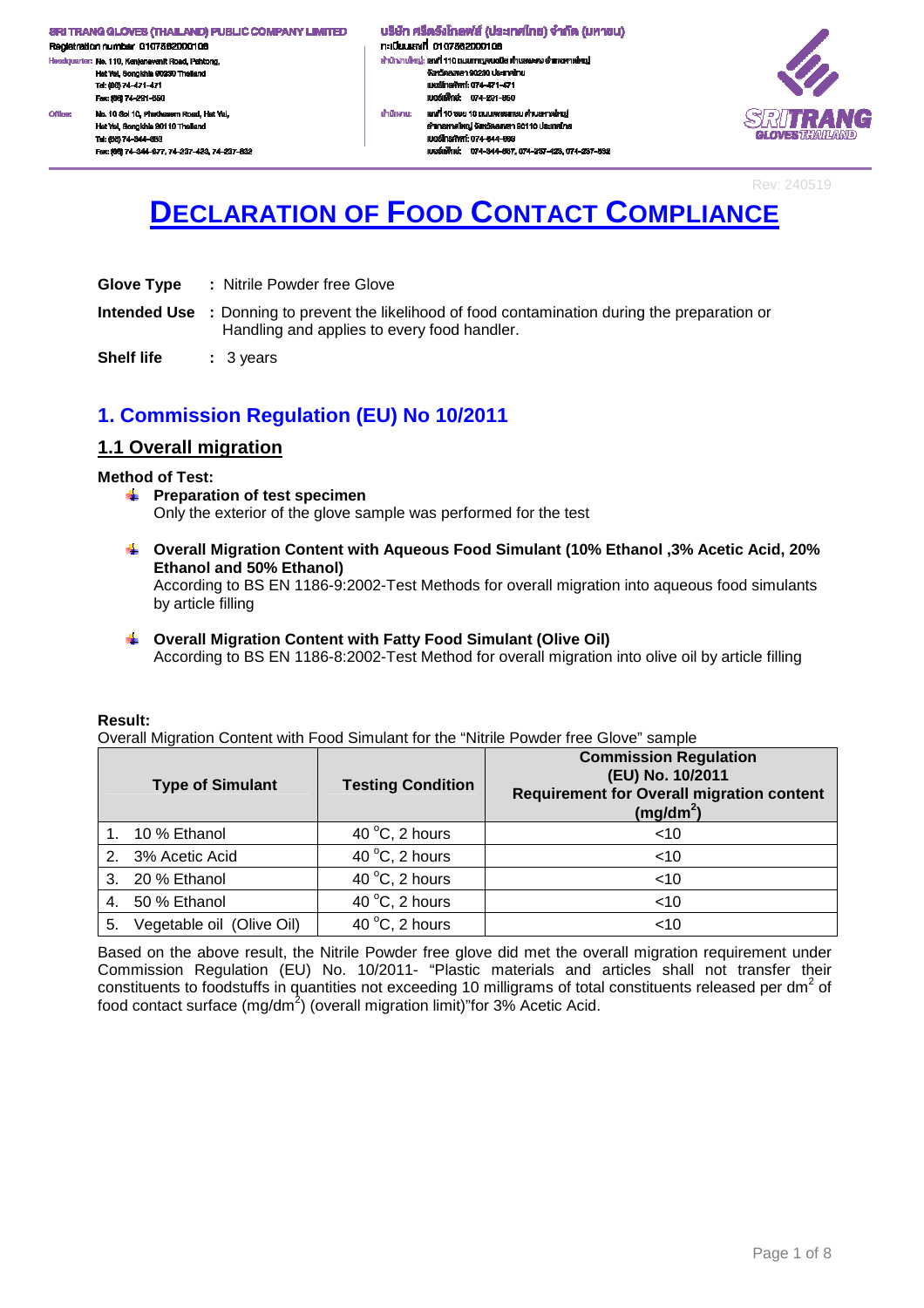Registration number 0107562000106 .<br>dquarter: No. 110, Kanjanavanit Road, Pahtong, H. Hat Yai, Songkhla 90230 Thailand<br>Tel: (88) 74-471-471 Fex: (66) 74-291-650 Office: No. 10 Sol 10, Phetkasem Road, Hat Yal, Hat Yai, Songkhia 90110 Thaile Tel: (66) 74-344-663

Fec: (66) 74-344-677, 74-237-423, 74-237-832

#### ้ บริษัท ศรีตริงโกลฟส์ (ประเทศไทย) จำกัด (มหาชน) กะเบียนเลงที่ 0107562000106 สำนักงานใหญ่: เสงที่ 110 ถนนกาญจนอนิช ด้านสพะดง อำเภอคาดใหญ่ งังหวัดสงพลา 90230 ประเทศไทย<br>เบอร์โทรศัพท์: 074-471-471 IU@ŠINVné: 074-291-650 เสซที่ 10 ธอย 10 ถนนเพชรทาษม ดำนลทาดใหญ่ สำนักงาน: อำเภอหาคใหญ่ จังหวัดสงขลา 90110 ประเทศไทย IUDS TrishWrf: 074-344-003 และเพื่อน่ะ 074-344-667 074-237-423 074-237-832



Rev: 240519

# **DECLARATION OF FOOD CONTACT COMPLIANCE**

- **Glove Type :** Nitrile Powder free Glove
- **Intended Use :** Donning to prevent the likelihood of food contamination during the preparation or Handling and applies to every food handler.
- **Shelf life : 3 years**

# **1. Commission Regulation (EU) No 10/2011**

# **1.1 Overall migration**

### **Method of Test:**

- **F** Preparation of test specimen Only the exterior of the glove sample was performed for the test
- **Overall Migration Content with Aqueous Food Simulant (10% Ethanol ,3% Acetic Acid, 20% Ethanol and 50% Ethanol)**

According to BS EN 1186-9:2002-Test Methods for overall migration into aqueous food simulants by article filling

# **Overall Migration Content with Fatty Food Simulant (Olive Oil)**

According to BS EN 1186-8:2002-Test Method for overall migration into olive oil by article filling

### **Result:**

Overall Migration Content with Food Simulant for the "Nitrile Powder free Glove" sample

|    | <b>Type of Simulant</b>   | <b>Testing Condition</b> | <b>Commission Regulation</b><br>(EU) No. 10/2011<br><b>Requirement for Overall migration content</b><br>$(mg/dm^2)$ |
|----|---------------------------|--------------------------|---------------------------------------------------------------------------------------------------------------------|
|    | 1. 10 % Ethanol           | 40 $\degree$ C, 2 hours  | $<$ 10                                                                                                              |
|    | 2. 3% Acetic Acid         | 40 $\degree$ C, 2 hours  | $<$ 10                                                                                                              |
| 3. | 20 % Ethanol              | 40 $\degree$ C, 2 hours  | $<$ 10                                                                                                              |
| 4. | 50 % Ethanol              | 40 $\degree$ C, 2 hours  | $<$ 10                                                                                                              |
| 5. | Vegetable oil (Olive Oil) | 40 $\degree$ C, 2 hours  | $<$ 10                                                                                                              |

Based on the above result, the Nitrile Powder free glove did met the overall migration requirement under Commission Regulation (EU) No. 10/2011- "Plastic materials and articles shall not transfer their constituents to foodstuffs in quantities not exceeding 10 milligrams of total constituents released per dm<sup>2</sup> of food contact surface (mg/dm<sup>2</sup>) (overall migration limit)"for 3% Acetic Acid.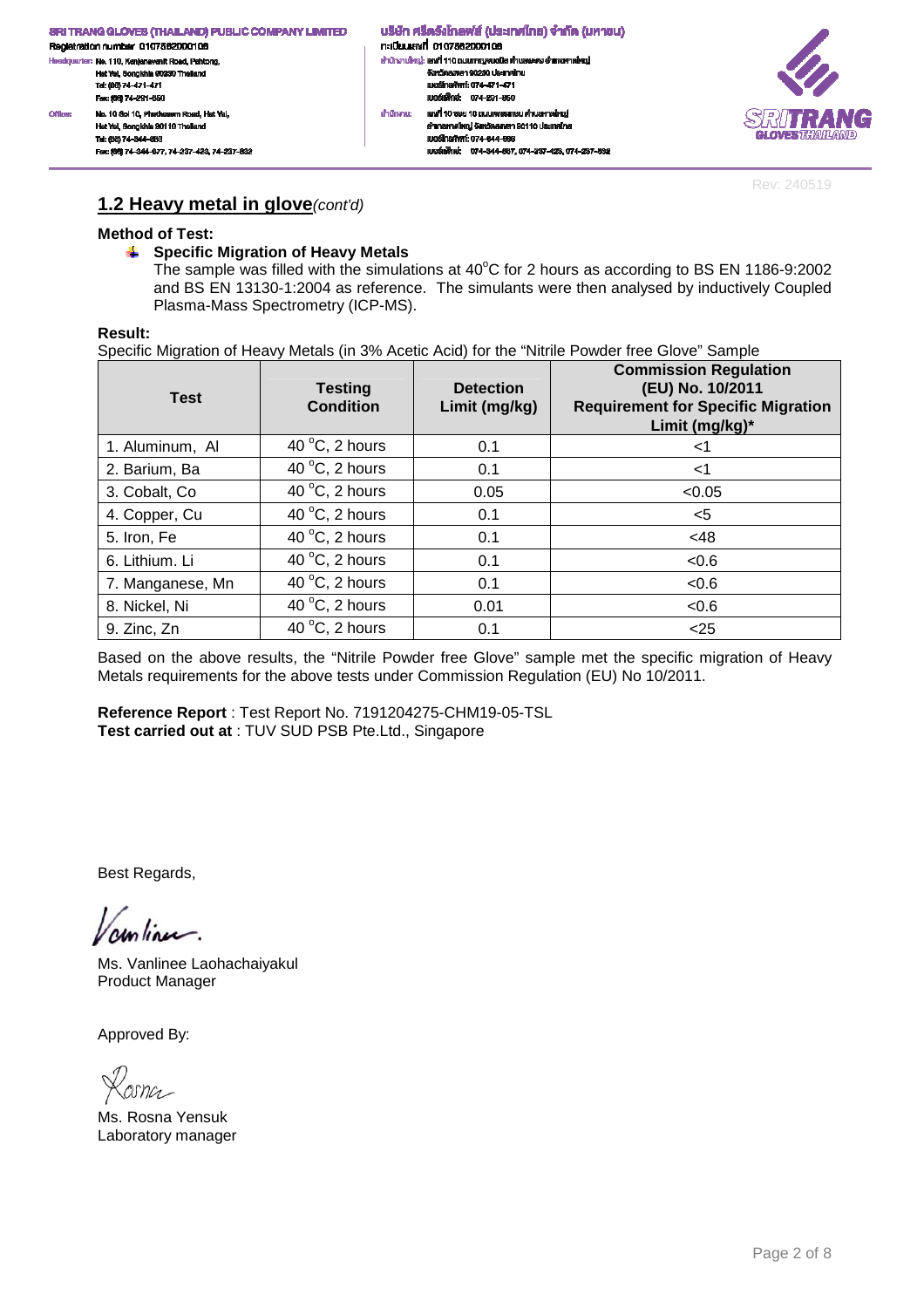้ บริษัท ศรีตริงโกลฟส์ (ประเทศไทย) จำกัด (มหาชน) กะเบียนเลงที่ 0107562000106 สำนักงานใหญ่: เสงที่ 110 ถนนกาญจนอนิช ด้านสพะดง อำเภอคาดใหญ่ งังหวัดสงพลา 90230 ประเทศไทย<br>เบอร์โทรศัพท์: 074-471-471 IU@ŠINVné: 074-291-650 เสซที่ 10 ธอย 10 ถนนเพชรทาษม ดำนลทาดใหญ่ สำนักงาน: อำเภอหาคใหญ่ จังหวัดสงขลา 90110 ประเทศไทย IUDS TrishWrf: 074-344-003 เบอร์แพ็กซ์: 074-344-667, 074-237-423, 074-237-632



Rev: 240519

### **1.2 Heavy metal in glove**(cont'd)

### **Method of Test:**

No. 10 Sol 10, Phetkasem Road, Hat Yal,

Fec: (66) 74-344-677, 74-237-423, 74-237-832

Hat Yai, Songkhia 90110 Thail

Tel: (66) 74-344-663

**Office:** 

### **Specific Migration of Heavy Metals**

The sample was filled with the simulations at  $40^{\circ}$ C for 2 hours as according to BS EN 1186-9:2002 and BS EN 13130-1:2004 as reference. The simulants were then analysed by inductively Coupled Plasma-Mass Spectrometry (ICP-MS).

### **Result:**

Specific Migration of Heavy Metals (in 3% Acetic Acid) for the "Nitrile Powder free Glove" Sample

| <b>Test</b>      | <b>Testing</b><br><b>Condition</b> | <b>Detection</b><br>Limit (mg/kg) | <b>Commission Regulation</b><br>(EU) No. 10/2011<br><b>Requirement for Specific Migration</b><br>Limit (mg/kg)* |
|------------------|------------------------------------|-----------------------------------|-----------------------------------------------------------------------------------------------------------------|
| 1. Aluminum, Al  | 40 $\degree$ C, 2 hours            | 0.1                               | <1                                                                                                              |
| 2. Barium, Ba    | 40 $\degree$ C, 2 hours            | 0.1                               | $<$ 1                                                                                                           |
| 3. Cobalt, Co.   | 40 $\degree$ C, 2 hours            | 0.05                              | < 0.05                                                                                                          |
| 4. Copper, Cu    | 40 $\degree$ C, 2 hours            | 0.1                               | <5                                                                                                              |
| 5. Iron, Fe      | 40 $\degree$ C, 2 hours            | 0.1                               | <48                                                                                                             |
| 6. Lithium. Li   | 40 $\degree$ C, 2 hours            | 0.1                               | < 0.6                                                                                                           |
| 7. Manganese, Mn | 40 $\degree$ C, 2 hours            | 0.1                               | < 0.6                                                                                                           |
| 8. Nickel, Ni    | 40 $\degree$ C, 2 hours            | 0.01                              | < 0.6                                                                                                           |
| 9. Zinc, Zn      | 40 $\degree$ C, 2 hours            | 0.1                               | $25$                                                                                                            |

Based on the above results, the "Nitrile Powder free Glove" sample met the specific migration of Heavy Metals requirements for the above tests under Commission Regulation (EU) No 10/2011.

**Reference Report** : Test Report No. 7191204275-CHM19-05-TSL **Test carried out at** : TUV SUD PSB Pte.Ltd., Singapore

Best Regards,

continu.

Ms. Vanlinee Laohachaiyakul Product Manager

Ms. Rosna Yensuk Laboratory manager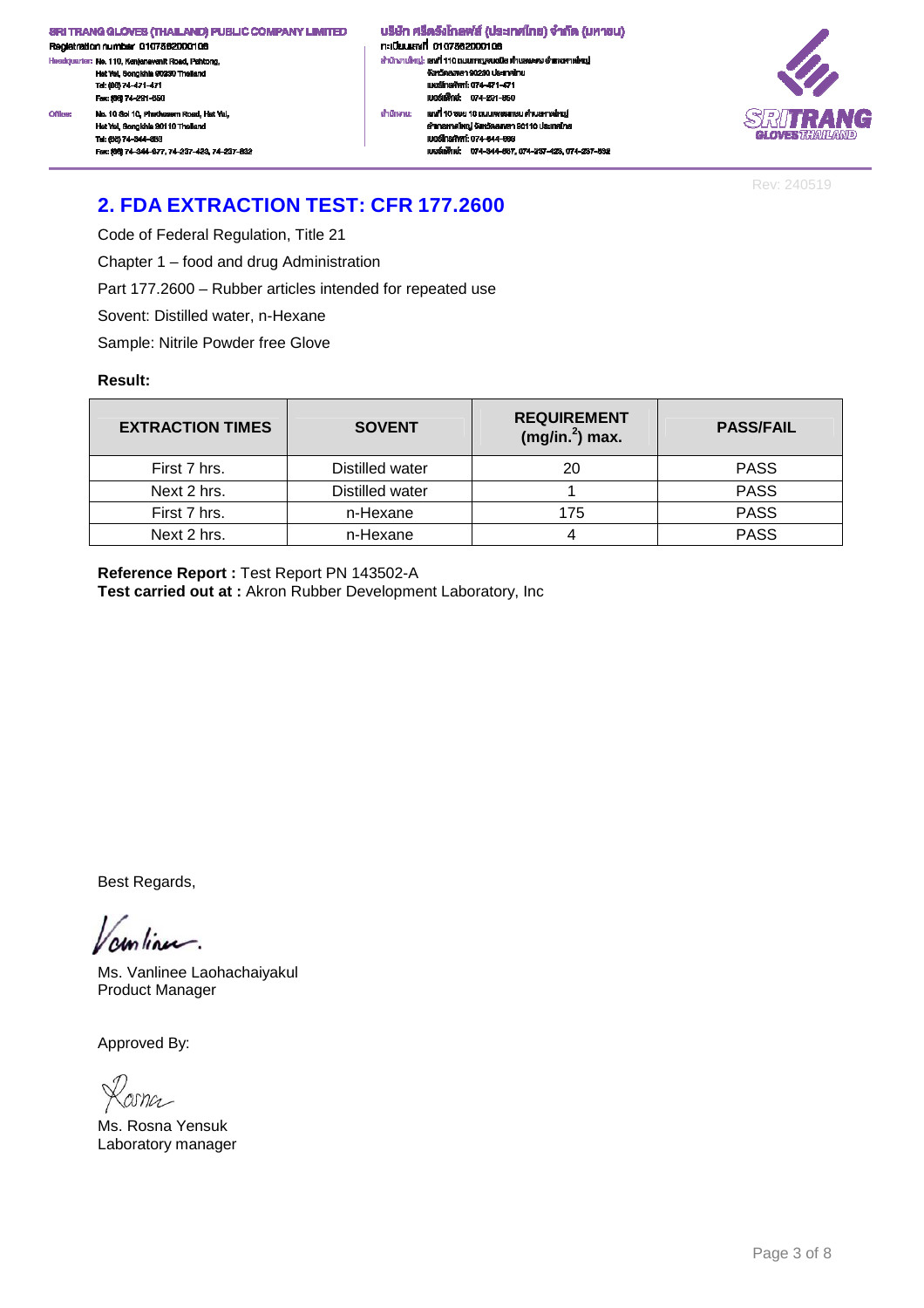Registration number 0107562000106 .<br>ciquarter: No. 110, Kanjanavanit Road, Pahtong, .<br>He Hat Yai, Songkhla 90230 Thailand<br>Tel: (66) 74-471-471<br>Fax: (66) 74-291-650 No. 10 Sol 10, Phetkasem Road, Hat Yal, Office: Hat Yai, Songkhia 90110 Thailar Tel: (66) 74-344-663

Fec: (66) 74-344-677, 74-237-423, 74-237-832

้ บริษัท ศรีตรังโกลฟส์ (ประเทศไทย) จำกัด (มหาชน) n:i09ulavit 0107562000106 สำนักงานใหญ่: เสงที่ 110 ถนนกาญจนวนิช พำบลพะตง อำเภอหาดใหญ่ จังหวัดสงหลา 90230 ประเทศไทย<br>เบอร์โทรศัพท์: 074-471-471 เบอร์เฟ้านะ 074-291-650 สำนักงาน: เสงที่ 10 ธอย 10 ถนนเพชรทาษม ด่านลหาดใหญ่ อำเภอหาคใหญ่ จังหวัดสงขลา 90110 ประเทศไทย IUDS TrishWrf: 074-344-003 recommended to the contract of the contract of the contract of the contract of the contract of the contract of



Rev: 240519

# **2. FDA EXTRACTION TEST: CFR 177.2600**

Code of Federal Regulation, Title 21

Chapter 1 – food and drug Administration

Part 177.2600 – Rubber articles intended for repeated use

Sovent: Distilled water, n-Hexane

Sample: Nitrile Powder free Glove

### **Result:**

| <b>EXTRACTION TIMES</b> | <b>SOVENT</b>   | <b>REQUIREMENT</b><br>$(mg/in.2)$ max. | <b>PASS/FAIL</b> |
|-------------------------|-----------------|----------------------------------------|------------------|
| First 7 hrs.            | Distilled water | 20                                     | <b>PASS</b>      |
| Next 2 hrs.             | Distilled water |                                        | <b>PASS</b>      |
| First 7 hrs.            | n-Hexane        | 175                                    | <b>PASS</b>      |
| Next 2 hrs.             | n-Hexane        |                                        | <b>PASS</b>      |

**Reference Report :** Test Report PN 143502-A

**Test carried out at :** Akron Rubber Development Laboratory, Inc

Best Regards,

continue.

Ms. Vanlinee Laohachaiyakul Product Manager

osna

Ms. Rosna Yensuk Laboratory manager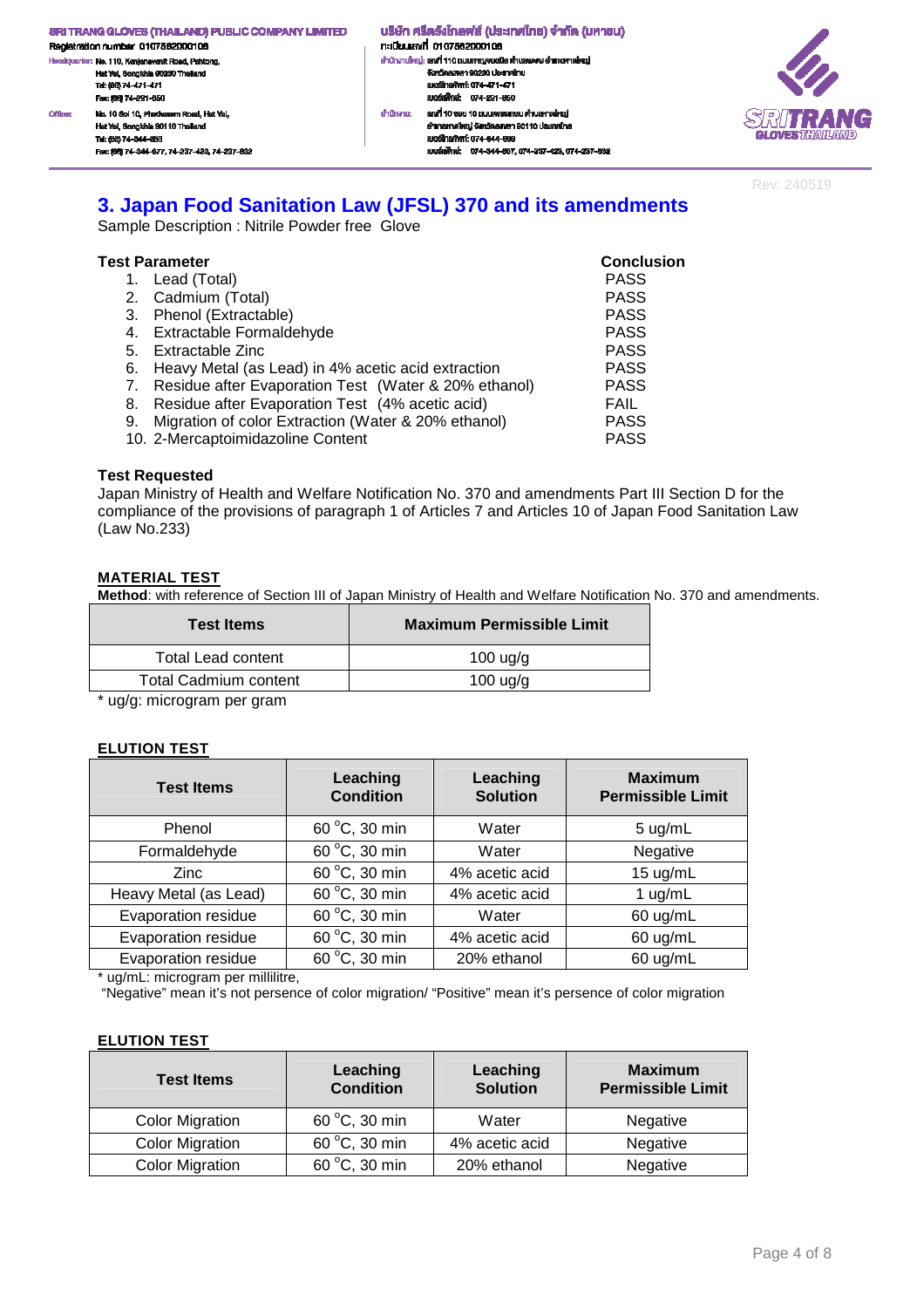.<br>ciquarter: No. 110, Kanjanavanit Road, Pahtong, .<br>He Hat Yai, Songkhla 90230 Thailand<br>Tel: (66) 74-471-471<br>Fax: (66) 74-291-650 No. 10 Sol 10, Phetkasem Road, Hat Yal, Office: Hat Yai, Songkhla 90110 Thailand Tel: (66) 74-344-663 Fec: (66) 74-344-677, 74-237-423, 74-237-832 ้ บริษัท ศรีตริงโกลฟส์ (ประเทศไทย) จำกัด (มหาชน) n:iuuavi 0107562000106 สำนักงานใหญ่: เสงที่ 110 ถนนกาญจนอนิช ด้านสพะดง อำเภอคาดใหญ่ จังหวัดสงหลา 90230 ประเทศไทย<br>เบอร์โทรศัพท์: 074-471-471 IUeśliWnie: 074-291-650 สำนักงาน: เสงที่ 10 ธอย 10 ถนนเพชรทาษม ด่านลหาดใหญ่ อำเภอหาคใหญ่ จังหวัดสงขลา 90110 ประเทศไทย IUDS TrishWrf: 074-344-003 เนอร์เพ็กซ์: 074-344-667, 074-237-423, 074-237-632



Rev: 240519

# **3. Japan Food Sanitation Law (JFSL) 370 and its amendments**

Sample Description : Nitrile Powder free Glove

|    | Test Parameter                                          | <b>Conclusion</b> |
|----|---------------------------------------------------------|-------------------|
|    | 1. Lead (Total)                                         | <b>PASS</b>       |
|    | 2. Cadmium (Total)                                      | <b>PASS</b>       |
|    | 3. Phenol (Extractable)                                 | <b>PASS</b>       |
|    | 4. Extractable Formaldehyde                             | <b>PASS</b>       |
|    | 5. Extractable Zinc                                     | <b>PASS</b>       |
|    | 6. Heavy Metal (as Lead) in 4% acetic acid extraction   | <b>PASS</b>       |
|    | 7. Residue after Evaporation Test (Water & 20% ethanol) | <b>PASS</b>       |
| 8. | Residue after Evaporation Test (4% acetic acid)         | FAIL              |
|    | 9. Migration of color Extraction (Water & 20% ethanol)  | <b>PASS</b>       |
|    | 10. 2-Mercaptoimidazoline Content                       | <b>PASS</b>       |

### **Test Requested**

Japan Ministry of Health and Welfare Notification No. 370 and amendments Part III Section D for the compliance of the provisions of paragraph 1 of Articles 7 and Articles 10 of Japan Food Sanitation Law (Law No.233)

### **MATERIAL TEST**

**Method**: with reference of Section III of Japan Ministry of Health and Welfare Notification No. 370 and amendments.

| <b>Test Items</b>     | Maximum Permissible Limit |
|-----------------------|---------------------------|
| Total Lead content    | $100 \text{ u}g/g$        |
| Total Cadmium content | $100$ ug/g                |
|                       |                           |

\* ug/g: microgram per gram

### **ELUTION TEST**

| <b>Test Items</b>     | Leaching<br><b>Condition</b> | Leaching<br><b>Solution</b> | <b>Maximum</b><br><b>Permissible Limit</b> |
|-----------------------|------------------------------|-----------------------------|--------------------------------------------|
| Phenol                | 60 °C, 30 min                | Water                       | $5 \text{ ug/mL}$                          |
| Formaldehyde          | 60 °C, 30 min                | Water                       | Negative                                   |
| <b>Zinc</b>           | 60 °C, 30 min                | 4% acetic acid              | 15 ug/mL                                   |
| Heavy Metal (as Lead) | 60 °C, 30 min                | 4% acetic acid              | 1 $ug/mL$                                  |
| Evaporation residue   | 60 °C, 30 min                | Water                       | 60 ug/mL                                   |
| Evaporation residue   | 60 °C, 30 min                | 4% acetic acid              | 60 ug/mL                                   |
| Evaporation residue   | 60 °C, 30 min                | 20% ethanol                 | 60 ug/mL                                   |

\* ug/mL: microgram per millilitre,

"Negative" mean it's not persence of color migration/ "Positive" mean it's persence of color migration

### **ELUTION TEST**

| <b>Test Items</b>      | Leaching<br><b>Condition</b> | Leaching<br><b>Solution</b> | <b>Maximum</b><br><b>Permissible Limit</b> |
|------------------------|------------------------------|-----------------------------|--------------------------------------------|
| <b>Color Migration</b> | 60 °C, 30 min                | Water                       | Negative                                   |
| <b>Color Migration</b> | 60 °C, 30 min                | 4% acetic acid              | Negative                                   |
| <b>Color Migration</b> | 60 °C, 30 min                | 20% ethanol                 | Negative                                   |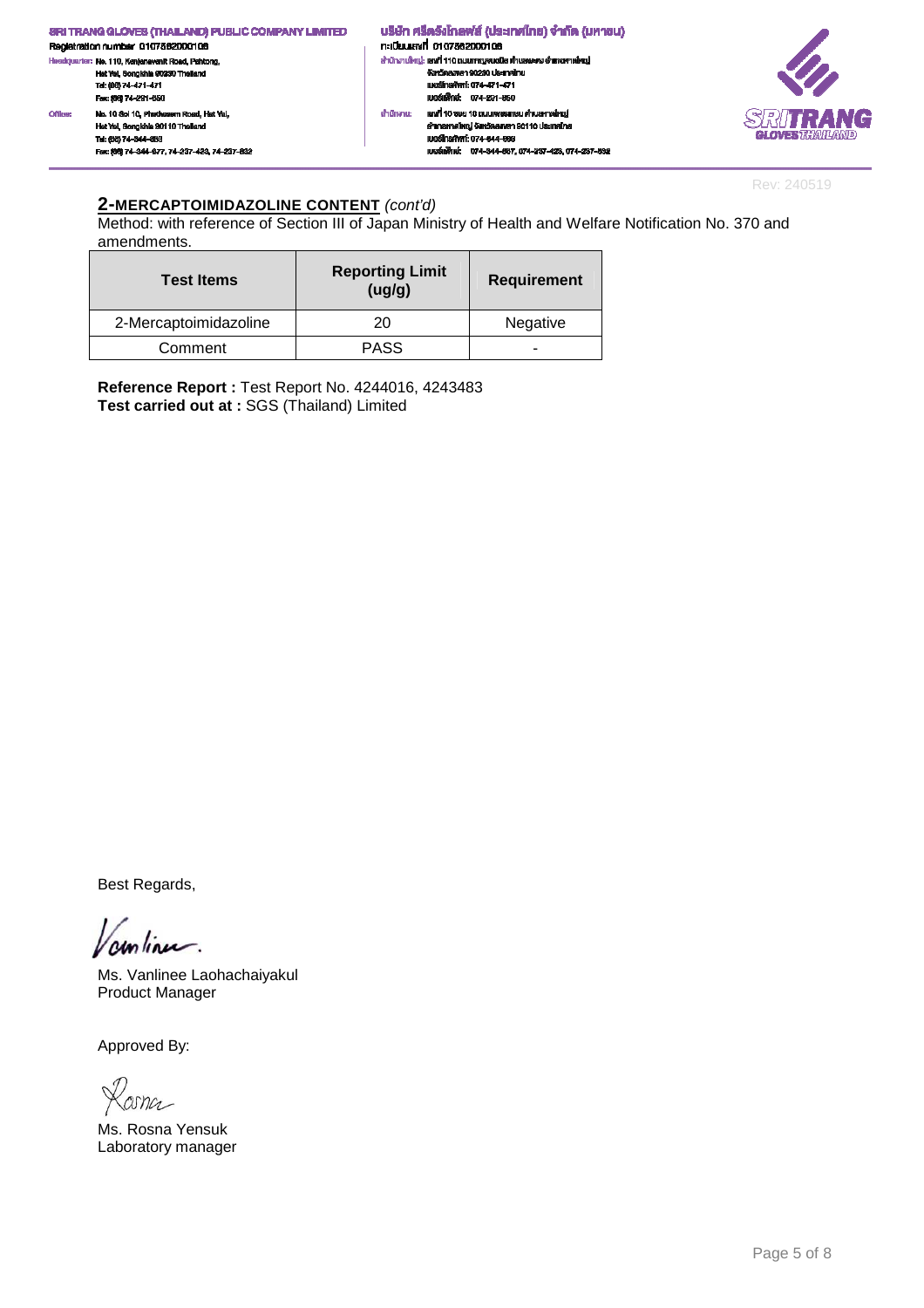

Rev: 240519

### **2-MERCAPTOIMIDAZOLINE CONTENT** (cont'd)

Method: with reference of Section III of Japan Ministry of Health and Welfare Notification No. 370 and amendments.

| <b>Test Items</b>     | <b>Reporting Limit</b><br>(ug/g) | <b>Requirement</b> |
|-----------------------|----------------------------------|--------------------|
| 2-Mercaptoimidazoline | 20                               | Negative           |
| Comment               | PASS                             | -                  |

**Reference Report :** Test Report No. 4244016, 4243483 **Test carried out at :** SGS (Thailand) Limited

Best Regards,

unlinu.

Ms. Vanlinee Laohachaiyakul Product Manager

Losna

Ms. Rosna Yensuk Laboratory manager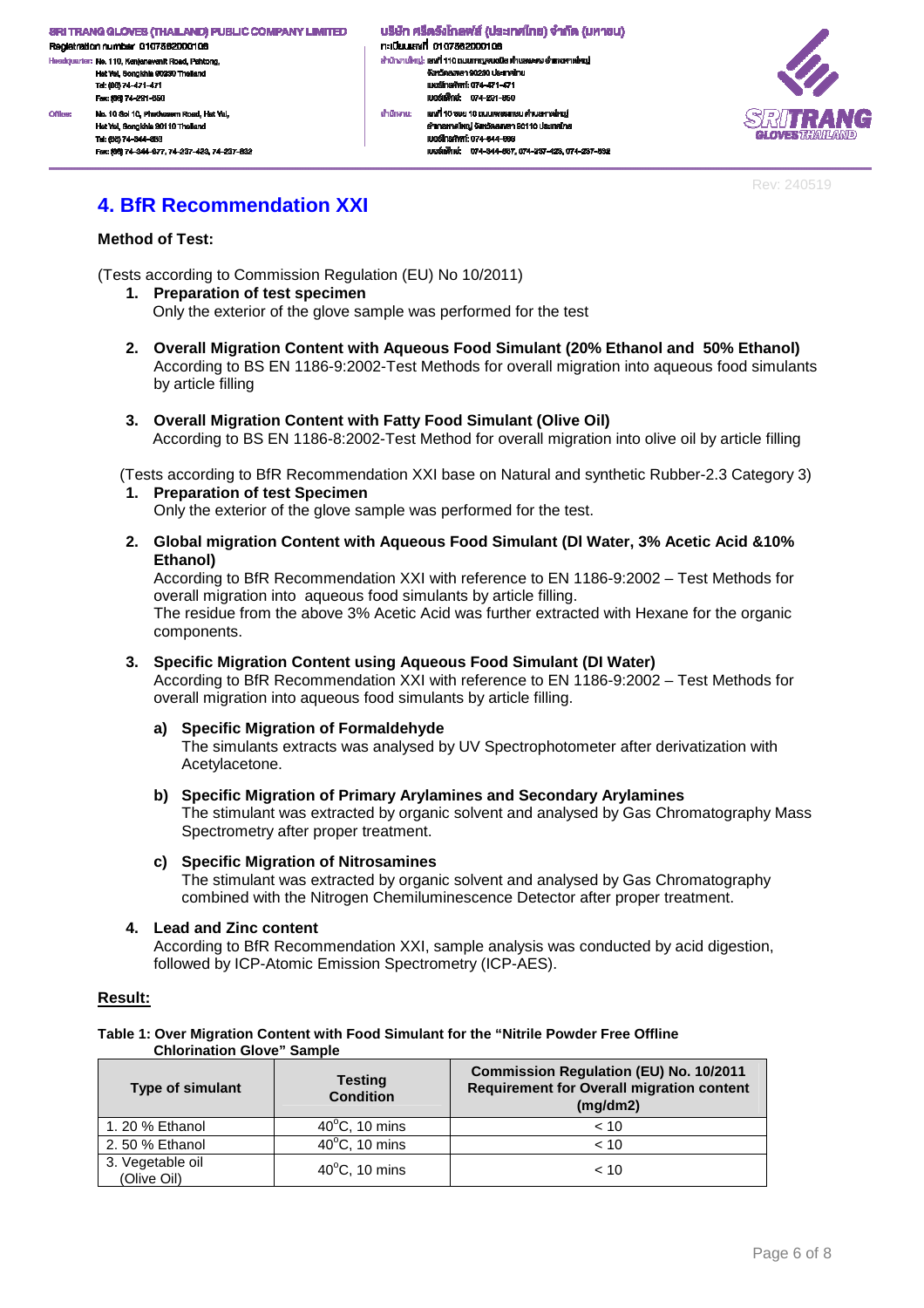dquarter: No. 110, Kanjanavanit Road, Pahtong, Hat Yai, Songkhla 90230 Thailand<br>Tel: (88) 74-471-471 Fex: (66) 74-291-650 Office: No. 10 Sol 10, Phetkasem Road, Hat Yal, Hat Yai, Songkhia 90110 Thail Tel: (66) 74-344-663 Fex: (66) 74-344-677, 74-237-423, 74-237-632

้บริษัท ศรีตรังโทลฟส์ (ประเทศไทย) จำกัด (มหาชน) n:iūsuiavn 0107562000106 สำนักงานใหญ่: เสงที่ 110 ถนนกาญจนอนิช ด้านสพะดง อำเภอคาดใหญ่ งังหวัดสงพลา 90230 ประเทศไทย<br>เบอร์โทรศัพท์: 074-471-471 IU@ŠINVné: 074-291-650 เสงที่ 10 ธอย 10 ถนนเพชรทาษม ด่านลหาดใหญ่ สำนักงาน: อำเภอหาคใหญ่ จังหวัดสงขลา 90110 ประเทศไทย IUDS TrishWrf: 074-344-003 และเพื่อน่ะ 074-344-667 074-237-423 074-237-832



Rev: 240519

# **4. BfR Recommendation XXI**

### **Method of Test:**

(Tests according to Commission Regulation (EU) No 10/2011)

- **1. Preparation of test specimen**  Only the exterior of the glove sample was performed for the test
- **2. Overall Migration Content with Aqueous Food Simulant (20% Ethanol and 50% Ethanol)**  According to BS EN 1186-9:2002-Test Methods for overall migration into aqueous food simulants by article filling
- **3. Overall Migration Content with Fatty Food Simulant (Olive Oil)**  According to BS EN 1186-8:2002-Test Method for overall migration into olive oil by article filling

(Tests according to BfR Recommendation XXI base on Natural and synthetic Rubber-2.3 Category 3)

- **1. Preparation of test Specimen**  Only the exterior of the glove sample was performed for the test.
- **2. Global migration Content with Aqueous Food Simulant (Dl Water, 3% Acetic Acid &10% Ethanol)**

According to BfR Recommendation XXI with reference to EN 1186-9:2002 – Test Methods for overall migration into aqueous food simulants by article filling. The residue from the above 3% Acetic Acid was further extracted with Hexane for the organic components.

### **3. Specific Migration Content using Aqueous Food Simulant (DI Water)**

According to BfR Recommendation XXI with reference to EN 1186-9:2002 – Test Methods for overall migration into aqueous food simulants by article filling.

### **a) Specific Migration of Formaldehyde**

The simulants extracts was analysed by UV Spectrophotometer after derivatization with Acetylacetone.

### **b) Specific Migration of Primary Arylamines and Secondary Arylamines**

The stimulant was extracted by organic solvent and analysed by Gas Chromatography Mass Spectrometry after proper treatment.

### **c) Specific Migration of Nitrosamines**

The stimulant was extracted by organic solvent and analysed by Gas Chromatography combined with the Nitrogen Chemiluminescence Detector after proper treatment.

### **4. Lead and Zinc content**

According to BfR Recommendation XXI, sample analysis was conducted by acid digestion, followed by ICP-Atomic Emission Spectrometry (ICP-AES).

### **Result:**

#### **Table 1: Over Migration Content with Food Simulant for the "Nitrile Powder Free Offline Chlorination Glove" Sample**

| <b>Type of simulant</b>         | <b>Testing</b><br><b>Condition</b> | <b>Commission Regulation (EU) No. 10/2011</b><br><b>Requirement for Overall migration content</b><br>(mq/dm2) |
|---------------------------------|------------------------------------|---------------------------------------------------------------------------------------------------------------|
| 1. 20 % Ethanol                 | $40^{\circ}$ C, 10 mins            | < 10                                                                                                          |
| 2.50 % Ethanol                  | $40^{\circ}$ C, 10 mins            | < 10                                                                                                          |
| 3. Vegetable oil<br>(Olive Oil) | $40^{\circ}$ C, 10 mins            | < 10                                                                                                          |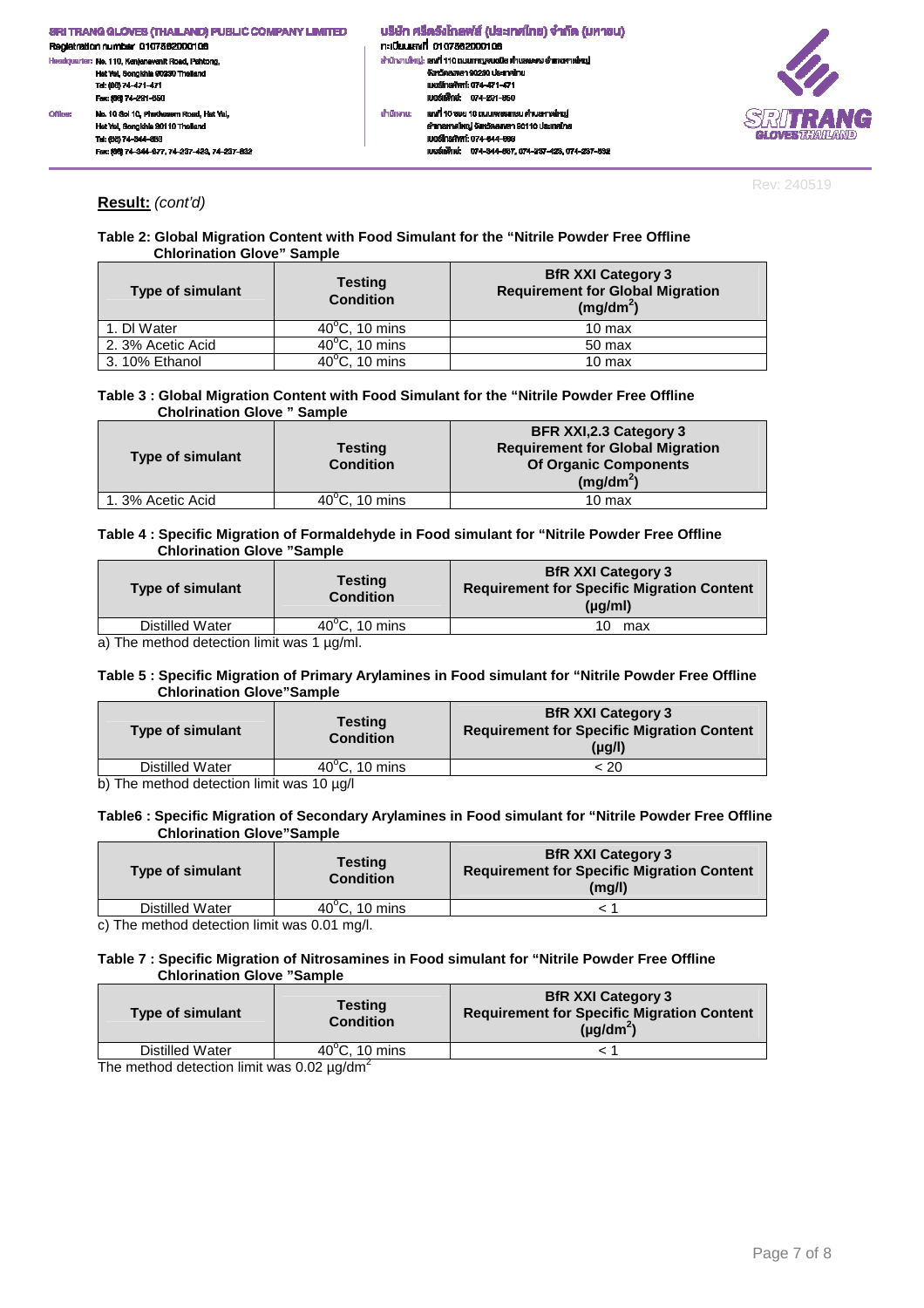

Rev: 240519

### **Result:** (cont'd)

### **Table 2: Global Migration Content with Food Simulant for the "Nitrile Powder Free Offline Chlorination Glove" Sample**

| <b>Type of simulant</b> | <b>Testing</b><br><b>Condition</b> | <b>BfR XXI Category 3</b><br><b>Requirement for Global Migration</b><br>$(mg/dm^2)$ |
|-------------------------|------------------------------------|-------------------------------------------------------------------------------------|
| 1. DI Water             | $40^{\circ}$ C, 10 mins            | $10 \text{ max}$                                                                    |
| 2. 3% Acetic Acid       | $40^{\circ}$ C, 10 mins            | 50 max                                                                              |
| 3.10% Ethanol           | $40^{\circ}$ C, 10 mins            | $10 \text{ max}$                                                                    |

#### **Table 3 : Global Migration Content with Food Simulant for the "Nitrile Powder Free Offline Cholrination Glove " Sample**

| <b>Type of simulant</b> | <b>Testing</b><br><b>Condition</b> | <b>BFR XXI, 2.3 Category 3</b><br><b>Requirement for Global Migration</b><br><b>Of Organic Components</b><br>$(mg/dm^2)$ |
|-------------------------|------------------------------------|--------------------------------------------------------------------------------------------------------------------------|
| 1.3% Acetic Acid        | $40^{\circ}$ C. 10 mins            | 10 max                                                                                                                   |

#### **Table 4 : Specific Migration of Formaldehyde in Food simulant for "Nitrile Powder Free Offline Chlorination Glove "Sample**

| <b>Type of simulant</b> | <b>Testing</b><br><b>Condition</b> | <b>BfR XXI Category 3</b><br><b>Requirement for Specific Migration Content</b><br>$(\mu q/m)$ |
|-------------------------|------------------------------------|-----------------------------------------------------------------------------------------------|
| Distilled Water         | $40^{\circ}$ C. 10 mins            | 10.<br>max                                                                                    |
|                         |                                    |                                                                                               |

a) The method detection limit was 1  $\mu$ g/ml.

### **Table 5 : Specific Migration of Primary Arylamines in Food simulant for "Nitrile Powder Free Offline Chlorination Glove"Sample**

| <b>Type of simulant</b> | <b>Testing</b><br><b>Condition</b> | <b>BfR XXI Category 3</b><br><b>Requirement for Specific Migration Content</b><br>$(\mu q/l)$ |
|-------------------------|------------------------------------|-----------------------------------------------------------------------------------------------|
| Distilled Water         | $40^{\circ}$ C. 10 mins            | : 20                                                                                          |
| $\cdots$                | $\sim$ $\sim$ $\sim$ $\sim$        |                                                                                               |

b) The method detection limit was 10 µg/l

### **Table6 : Specific Migration of Secondary Arylamines in Food simulant for "Nitrile Powder Free Offline Chlorination Glove"Sample**

| <b>Type of simulant</b> | Testing<br><b>Condition</b> | <b>BfR XXI Category 3</b><br><b>Requirement for Specific Migration Content</b><br>$(m\alpha/l)$ |
|-------------------------|-----------------------------|-------------------------------------------------------------------------------------------------|
| Distilled Water         | $40^{\circ}$ C, 10 mins     |                                                                                                 |

c) The method detection limit was 0.01 mg/l.

### **Table 7 : Specific Migration of Nitrosamines in Food simulant for "Nitrile Powder Free Offline Chlorination Glove "Sample**

| <b>Type of simulant</b> | <b>Testing</b><br><b>Condition</b> | <b>BfR XXI Category 3</b><br><b>Requirement for Specific Migration Content</b><br>$(\mu q/dm^2)$ |
|-------------------------|------------------------------------|--------------------------------------------------------------------------------------------------|
| Distilled Water         | $40^{\circ}$ C. 10 mins            |                                                                                                  |

The method detection limit was 0.02  $\mu$ g/dm<sup>2</sup>